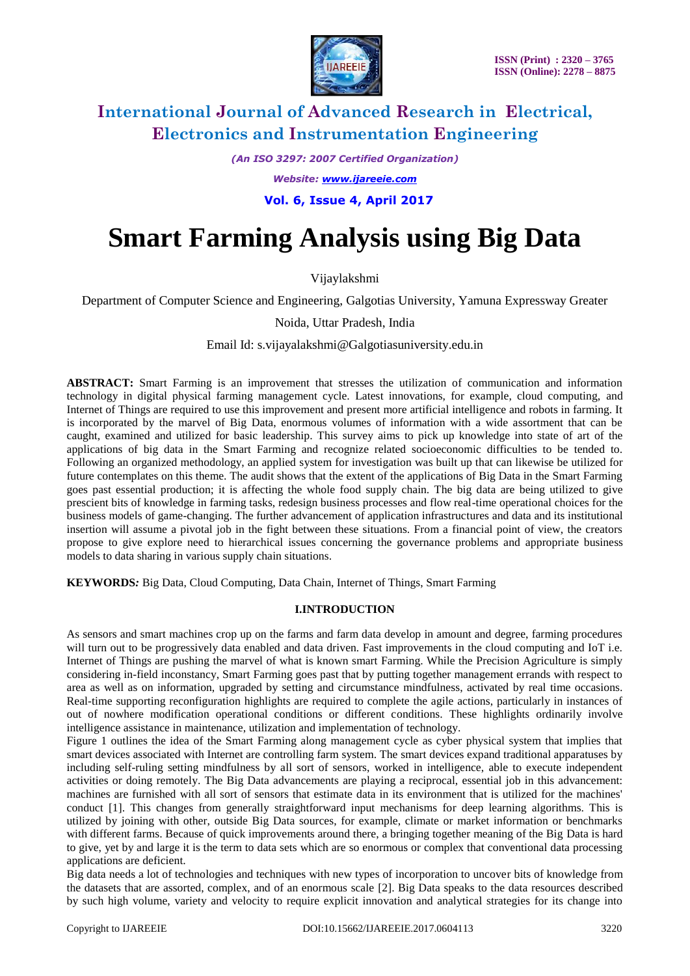

*(An ISO 3297: 2007 Certified Organization)*

*Website: [www.ijareeie.com](http://www.ijareeie.com/)*

 **Vol. 6, Issue 4, April 2017**

# **Smart Farming Analysis using Big Data**

Vijaylakshmi

Department of Computer Science and Engineering, Galgotias University, Yamuna Expressway Greater

Noida, Uttar Pradesh, India

Email Id: s.vijayalakshmi@Galgotiasuniversity.edu.in

**ABSTRACT:** Smart Farming is an improvement that stresses the utilization of communication and information technology in digital physical farming management cycle. Latest innovations, for example, cloud computing, and Internet of Things are required to use this improvement and present more artificial intelligence and robots in farming. It is incorporated by the marvel of Big Data, enormous volumes of information with a wide assortment that can be caught, examined and utilized for basic leadership. This survey aims to pick up knowledge into state of art of the applications of big data in the Smart Farming and recognize related socioeconomic difficulties to be tended to. Following an organized methodology, an applied system for investigation was built up that can likewise be utilized for future contemplates on this theme. The audit shows that the extent of the applications of Big Data in the Smart Farming goes past essential production; it is affecting the whole food supply chain. The big data are being utilized to give prescient bits of knowledge in farming tasks, redesign business processes and flow real-time operational choices for the business models of game-changing. The further advancement of application infrastructures and data and its institutional insertion will assume a pivotal job in the fight between these situations. From a financial point of view, the creators propose to give explore need to hierarchical issues concerning the governance problems and appropriate business models to data sharing in various supply chain situations.

**KEYWORDS***:* Big Data, Cloud Computing, Data Chain, Internet of Things, Smart Farming

### **I.INTRODUCTION**

As sensors and smart machines crop up on the farms and farm data develop in amount and degree, farming procedures will turn out to be progressively data enabled and data driven. Fast improvements in the cloud computing and IoT i.e. Internet of Things are pushing the marvel of what is known smart Farming. While the Precision Agriculture is simply considering in-field inconstancy, Smart Farming goes past that by putting together management errands with respect to area as well as on information, upgraded by setting and circumstance mindfulness, activated by real time occasions. Real-time supporting reconfiguration highlights are required to complete the agile actions, particularly in instances of out of nowhere modification operational conditions or different conditions. These highlights ordinarily involve intelligence assistance in maintenance, utilization and implementation of technology.

Figure 1 outlines the idea of the Smart Farming along management cycle as cyber physical system that implies that smart devices associated with Internet are controlling farm system. The smart devices expand traditional apparatuses by including self-ruling setting mindfulness by all sort of sensors, worked in intelligence, able to execute independent activities or doing remotely. The Big Data advancements are playing a reciprocal, essential job in this advancement: machines are furnished with all sort of sensors that estimate data in its environment that is utilized for the machines' conduct [1]. This changes from generally straightforward input mechanisms for deep learning algorithms. This is utilized by joining with other, outside Big Data sources, for example, climate or market information or benchmarks with different farms. Because of quick improvements around there, a bringing together meaning of the Big Data is hard to give, yet by and large it is the term to data sets which are so enormous or complex that conventional data processing applications are deficient.

Big data needs a lot of technologies and techniques with new types of incorporation to uncover bits of knowledge from the datasets that are assorted, complex, and of an enormous scale [2]. Big Data speaks to the data resources described by such high volume, variety and velocity to require explicit innovation and analytical strategies for its change into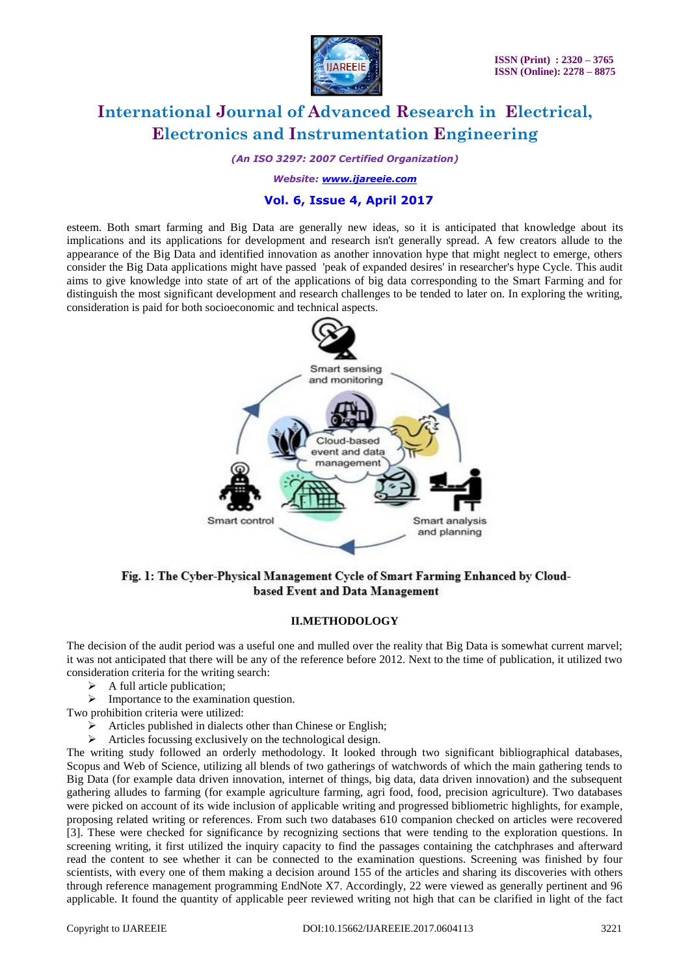

*(An ISO 3297: 2007 Certified Organization)*

*Website: [www.ijareeie.com](http://www.ijareeie.com/)*

### **Vol. 6, Issue 4, April 2017**

esteem. Both smart farming and Big Data are generally new ideas, so it is anticipated that knowledge about its implications and its applications for development and research isn't generally spread. A few creators allude to the appearance of the Big Data and identified innovation as another innovation hype that might neglect to emerge, others consider the Big Data applications might have passed 'peak of expanded desires' in researcher's hype Cycle. This audit aims to give knowledge into state of art of the applications of big data corresponding to the Smart Farming and for distinguish the most significant development and research challenges to be tended to later on. In exploring the writing, consideration is paid for both socioeconomic and technical aspects.



Fig. 1: The Cyber-Physical Management Cycle of Smart Farming Enhanced by Cloudbased Event and Data Management

#### **II.METHODOLOGY**

The decision of the audit period was a useful one and mulled over the reality that Big Data is somewhat current marvel; it was not anticipated that there will be any of the reference before 2012. Next to the time of publication, it utilized two consideration criteria for the writing search:

- A full article publication;
- $\triangleright$  Importance to the examination question.

Two prohibition criteria were utilized:

- $\triangleright$  Articles published in dialects other than Chinese or English;
- Articles focussing exclusively on the technological design.

The writing study followed an orderly methodology. It looked through two significant bibliographical databases, Scopus and Web of Science, utilizing all blends of two gatherings of watchwords of which the main gathering tends to Big Data (for example data driven innovation, internet of things, big data, data driven innovation) and the subsequent gathering alludes to farming (for example agriculture farming, agri food, food, precision agriculture). Two databases were picked on account of its wide inclusion of applicable writing and progressed bibliometric highlights, for example, proposing related writing or references. From such two databases 610 companion checked on articles were recovered [3]. These were checked for significance by recognizing sections that were tending to the exploration questions. In screening writing, it first utilized the inquiry capacity to find the passages containing the catchphrases and afterward read the content to see whether it can be connected to the examination questions. Screening was finished by four scientists, with every one of them making a decision around 155 of the articles and sharing its discoveries with others through reference management programming EndNote X7. Accordingly, 22 were viewed as generally pertinent and 96 applicable. It found the quantity of applicable peer reviewed writing not high that can be clarified in light of the fact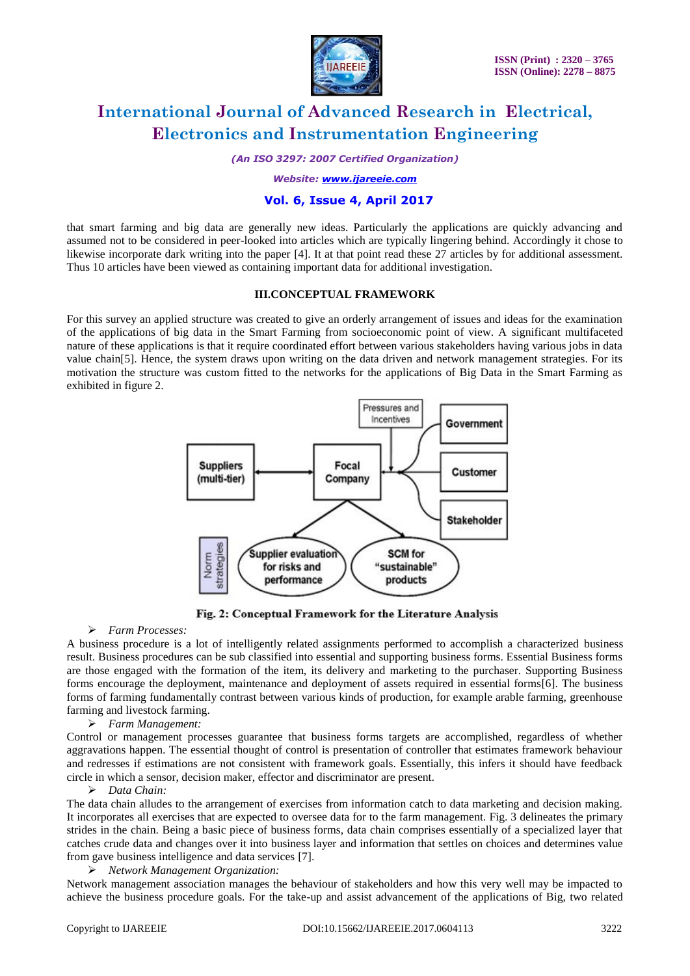

*(An ISO 3297: 2007 Certified Organization)*

*Website: [www.ijareeie.com](http://www.ijareeie.com/)*

### **Vol. 6, Issue 4, April 2017**

that smart farming and big data are generally new ideas. Particularly the applications are quickly advancing and assumed not to be considered in peer-looked into articles which are typically lingering behind. Accordingly it chose to likewise incorporate dark writing into the paper [4]. It at that point read these 27 articles by for additional assessment. Thus 10 articles have been viewed as containing important data for additional investigation.

#### **III.CONCEPTUAL FRAMEWORK**

For this survey an applied structure was created to give an orderly arrangement of issues and ideas for the examination of the applications of big data in the Smart Farming from socioeconomic point of view. A significant multifaceted nature of these applications is that it require coordinated effort between various stakeholders having various jobs in data value chain[5]. Hence, the system draws upon writing on the data driven and network management strategies. For its motivation the structure was custom fitted to the networks for the applications of Big Data in the Smart Farming as exhibited in figure 2.



Fig. 2: Conceptual Framework for the Literature Analysis

#### *Farm Processes:*

A business procedure is a lot of intelligently related assignments performed to accomplish a characterized business result. Business procedures can be sub classified into essential and supporting business forms. Essential Business forms are those engaged with the formation of the item, its delivery and marketing to the purchaser. Supporting Business forms encourage the deployment, maintenance and deployment of assets required in essential forms[6]. The business forms of farming fundamentally contrast between various kinds of production, for example arable farming, greenhouse farming and livestock farming.

#### *Farm Management:*

Control or management processes guarantee that business forms targets are accomplished, regardless of whether aggravations happen. The essential thought of control is presentation of controller that estimates framework behaviour and redresses if estimations are not consistent with framework goals. Essentially, this infers it should have feedback circle in which a sensor, decision maker, effector and discriminator are present.

#### *Data Chain:*

The data chain alludes to the arrangement of exercises from information catch to data marketing and decision making. It incorporates all exercises that are expected to oversee data for to the farm management. Fig. 3 delineates the primary strides in the chain. Being a basic piece of business forms, data chain comprises essentially of a specialized layer that catches crude data and changes over it into business layer and information that settles on choices and determines value from gave business intelligence and data services [7].

#### *Network Management Organization:*

Network management association manages the behaviour of stakeholders and how this very well may be impacted to achieve the business procedure goals. For the take-up and assist advancement of the applications of Big, two related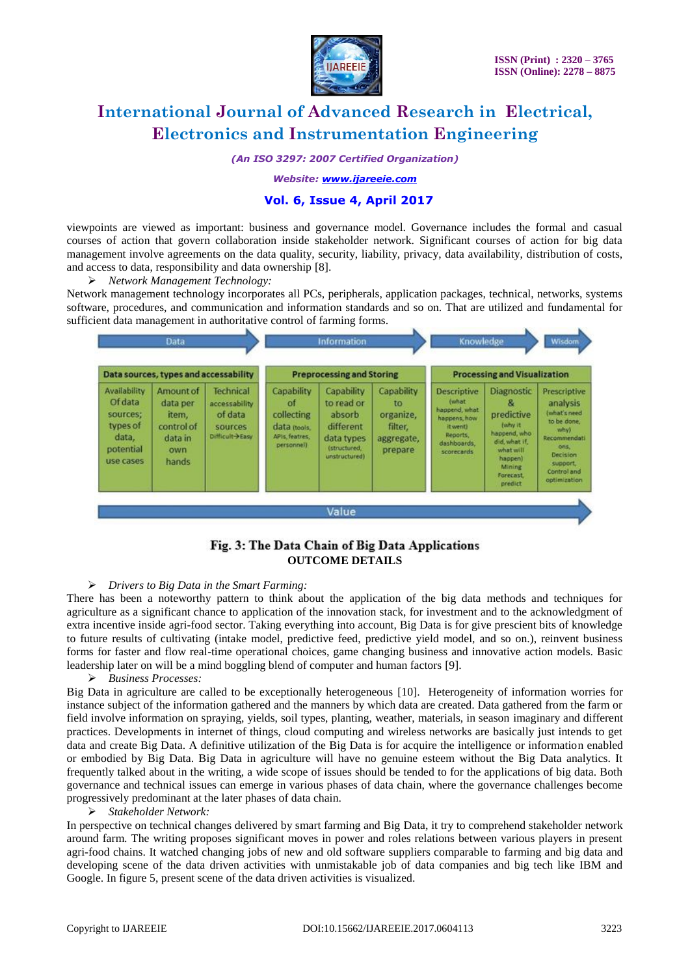

*(An ISO 3297: 2007 Certified Organization)*

#### *Website: [www.ijareeie.com](http://www.ijareeie.com/)*

#### **Vol. 6, Issue 4, April 2017**

viewpoints are viewed as important: business and governance model. Governance includes the formal and casual courses of action that govern collaboration inside stakeholder network. Significant courses of action for big data management involve agreements on the data quality, security, liability, privacy, data availability, distribution of costs, and access to data, responsibility and data ownership [8].

*Network Management Technology:*

Network management technology incorporates all PCs, peripherals, application packages, technical, networks, systems software, procedures, and communication and information standards and so on. That are utilized and fundamental for sufficient data management in authoritative control of farming forms.



### Fig. 3: The Data Chain of Big Data Applications **OUTCOME DETAILS**

#### *Drivers to Big Data in the Smart Farming:*

There has been a noteworthy pattern to think about the application of the big data methods and techniques for agriculture as a significant chance to application of the innovation stack, for investment and to the acknowledgment of extra incentive inside agri-food sector. Taking everything into account, Big Data is for give prescient bits of knowledge to future results of cultivating (intake model, predictive feed, predictive yield model, and so on.), reinvent business forms for faster and flow real-time operational choices, game changing business and innovative action models. Basic leadership later on will be a mind boggling blend of computer and human factors [9].

#### *Business Processes:*

Big Data in agriculture are called to be exceptionally heterogeneous [10]. Heterogeneity of information worries for instance subject of the information gathered and the manners by which data are created. Data gathered from the farm or field involve information on spraying, yields, soil types, planting, weather, materials, in season imaginary and different practices. Developments in internet of things, cloud computing and wireless networks are basically just intends to get data and create Big Data. A definitive utilization of the Big Data is for acquire the intelligence or information enabled or embodied by Big Data. Big Data in agriculture will have no genuine esteem without the Big Data analytics. It frequently talked about in the writing, a wide scope of issues should be tended to for the applications of big data. Both governance and technical issues can emerge in various phases of data chain, where the governance challenges become progressively predominant at the later phases of data chain.

#### *Stakeholder Network:*

In perspective on technical changes delivered by smart farming and Big Data, it try to comprehend stakeholder network around farm. The writing proposes significant moves in power and roles relations between various players in present agri-food chains. It watched changing jobs of new and old software suppliers comparable to farming and big data and developing scene of the data driven activities with unmistakable job of data companies and big tech like IBM and Google. In figure 5, present scene of the data driven activities is visualized.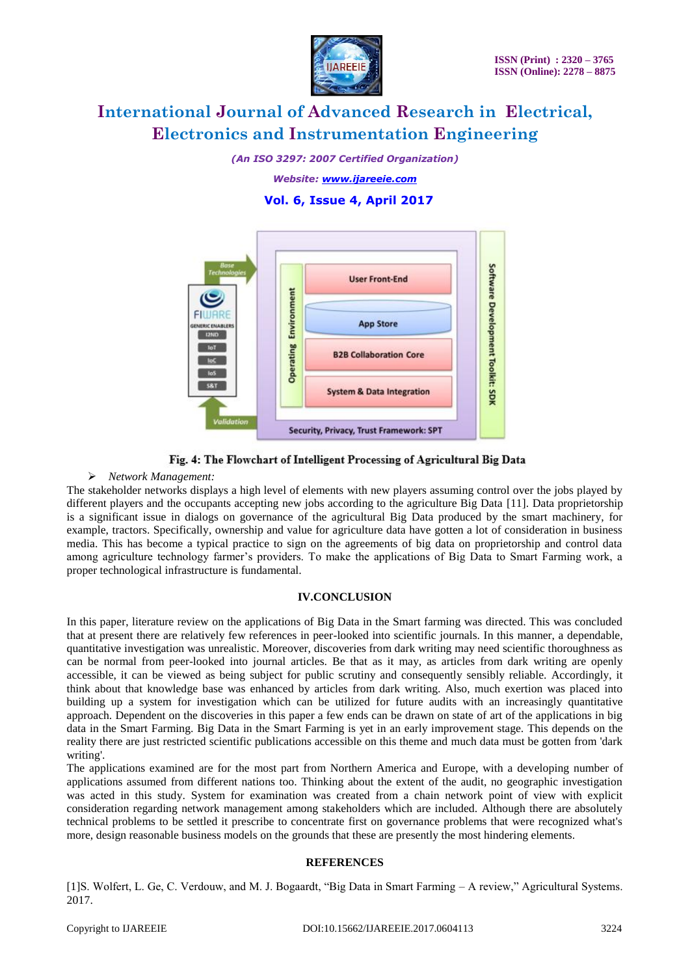

*(An ISO 3297: 2007 Certified Organization)*

*Website: [www.ijareeie.com](http://www.ijareeie.com/)*

### **Vol. 6, Issue 4, April 2017**



### Fig. 4: The Flowchart of Intelligent Processing of Agricultural Big Data

#### *Network Management:*

The stakeholder networks displays a high level of elements with new players assuming control over the jobs played by different players and the occupants accepting new jobs according to the agriculture Big Data [11]. Data proprietorship is a significant issue in dialogs on governance of the agricultural Big Data produced by the smart machinery, for example, tractors. Specifically, ownership and value for agriculture data have gotten a lot of consideration in business media. This has become a typical practice to sign on the agreements of big data on proprietorship and control data among agriculture technology farmer's providers. To make the applications of Big Data to Smart Farming work, a proper technological infrastructure is fundamental.

#### **IV.CONCLUSION**

In this paper, literature review on the applications of Big Data in the Smart farming was directed. This was concluded that at present there are relatively few references in peer-looked into scientific journals. In this manner, a dependable, quantitative investigation was unrealistic. Moreover, discoveries from dark writing may need scientific thoroughness as can be normal from peer-looked into journal articles. Be that as it may, as articles from dark writing are openly accessible, it can be viewed as being subject for public scrutiny and consequently sensibly reliable. Accordingly, it think about that knowledge base was enhanced by articles from dark writing. Also, much exertion was placed into building up a system for investigation which can be utilized for future audits with an increasingly quantitative approach. Dependent on the discoveries in this paper a few ends can be drawn on state of art of the applications in big data in the Smart Farming. Big Data in the Smart Farming is yet in an early improvement stage. This depends on the reality there are just restricted scientific publications accessible on this theme and much data must be gotten from 'dark writing'.

The applications examined are for the most part from Northern America and Europe, with a developing number of applications assumed from different nations too. Thinking about the extent of the audit, no geographic investigation was acted in this study. System for examination was created from a chain network point of view with explicit consideration regarding network management among stakeholders which are included. Although there are absolutely technical problems to be settled it prescribe to concentrate first on governance problems that were recognized what's more, design reasonable business models on the grounds that these are presently the most hindering elements.

#### **REFERENCES**

[1]S. Wolfert, L. Ge, C. Verdouw, and M. J. Bogaardt, "Big Data in Smart Farming – A review," Agricultural Systems. 2017.